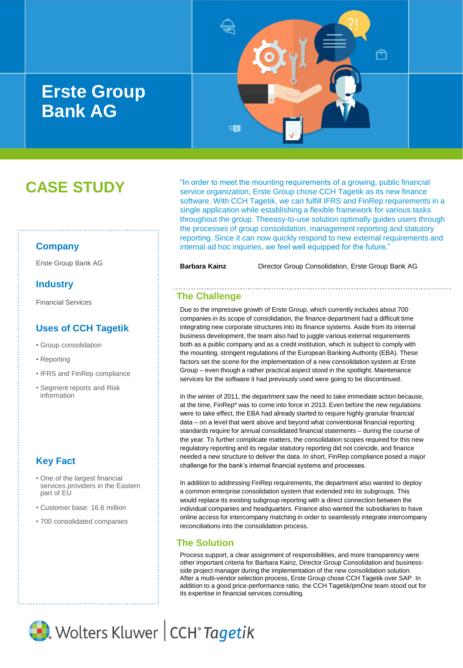# **Erste Group Bank AG**



# **CASE STUDY**

### **Company**

## **Industry**

Financial Services

## **Uses of CCH Tagetik**

- Group consolidation
- Reporting
- IFRS and FinRep compliance
- Segment reports and Risk information

## **Key Fact**

- One of the largest financial services providers in the Eastern part of EU
- Customer base: 16.6 million
- 700 consolidated companies

"In order to meet the mounting requirements of a growing, public financial service organization, Erste Group chose CCH Tagetik as its new finance software. With CCH Tagetik, we can fulfill IFRS and FinRep requirements in a single application while establishing a flexible framework for various tasks throughout the group. Theeasy-to-use solution optimally guides users through the processes of group consolidation, management reporting and statutory reporting. Since it can now quickly respond to new external requirements and internal ad hoc inquiries, we feel well equipped for the future."

Erste Group Bank AG **Barbara Kainz** Director Group Consolidation, Erste Group Bank AG

## **The Challenge**

Due to the impressive growth of Erste Group, which currently includes about 700 companies in its scope of consolidation, the finance department had a difficult time integrating new corporate structures into its finance systems. Aside from its internal business development, the team also had to juggle various external requirements both as a public company and as a credit institution, which is subject to comply with the mounting, stringent regulations of the European Banking Authority (EBA). These factors set the scene for the implementation of a new consolidation system at Erste Group – even though a rather practical aspect stood in the spotlight. Maintenance services for the software it had previously used were going to be discontinued.

In the winter of 2011, the department saw the need to take immediate action because, at the time, FinRep\* was to come into force in 2013. Even before the new regulations were to take effect, the EBA had already started to require highly granular financial data – on a level that went above and beyond what conventional financial reporting standards require for annual consolidated financial statements – during the course of the year. To further complicate matters, the consolidation scopes required for this new regulatory reporting and its regular statutory reporting did not coincide, and finance needed a new structure to deliver the data. In short, FinRep compliance posed a major challenge for the bank's internal financial systems and processes.

In addition to addressing FinRep requirements, the department also wanted to deploy a common enterprise consolidation system that extended into its subgroups. This would replace its existing subgroup reporting with a direct connection between the individual companies and headquarters. Finance also wanted the subsidiaries to have online access for intercompany matching in order to seamlessly integrate intercompany reconciliations into the consolidation process.

## **The Solution**

Process support, a clear assignment of responsibilities, and more transparency were other important criteria for Barbara Kainz, Director Group Consolidation and businessside project manager during the implementation of the new consolidation solution. After a multi-vendor selection process, Erste Group chose CCH Tagetik over SAP. In addition to a good price-performance ratio, the CCH Tagetik/pmOne team stood out for its expertise in financial services consulting.

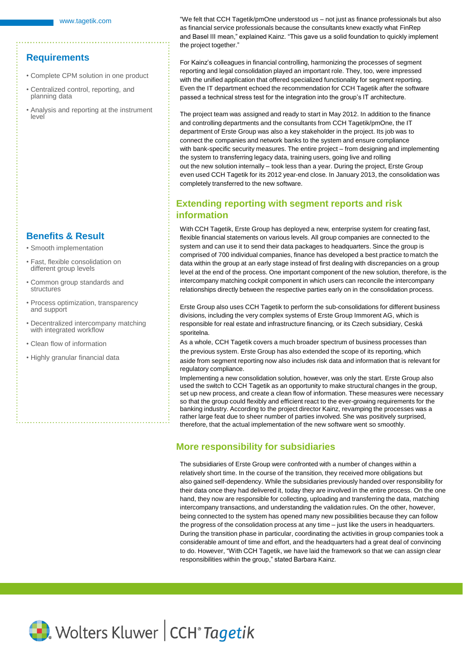#### **Requirements**

- Complete CPM solution in one product
- Centralized control, reporting, and planning data
- Analysis and reporting at the instrument level

### **Benefits & Result**

- Smooth implementation
- Fast, flexible consolidation on different group levels
- Common group standards and structures
- Process optimization, transparency and support
- Decentralized intercompany matching with integrated workflow
- Clean flow of information
- Highly granular financial data

"We felt that CCH Tagetik/pmOne understood us – not just as finance professionals but also as financial service professionals because the consultants knew exactly what FinRep and Basel III mean," explained Kainz. "This gave us a solid foundation to quickly implement the project together."

For Kainz's colleagues in financial controlling, harmonizing the processes of segment reporting and legal consolidation played an important role. They, too, were impressed with the unified application that offered specialized functionality for segment reporting. Even the IT department echoed the recommendation for CCH Tagetik after the software passed a technical stress test for the integration into the group's IT architecture.

The project team was assigned and ready to start in May 2012. In addition to the finance and controlling departments and the consultants from CCH Tagetik/pmOne, the IT department of Erste Group was also a key stakeholder in the project. Its job was to connect the companies and network banks to the system and ensure compliance with bank-specific security measures. The entire project – from designing and implementing the system to transferring legacy data, training users, going live and rolling out the new solution internally – took less than a year. During the project, Erste Group even used CCH Tagetik for its 2012 year-end close. In January 2013, the consolidation was completely transferred to the new software.

## **Extending reporting with segment reports and risk information**

With CCH Tagetik, Erste Group has deployed a new, enterprise system for creating fast, flexible financial statements on various levels. All group companies are connected to the system and can use it to send their data packages to headquarters. Since the group is comprised of 700 individual companies, finance has developed a best practice to match the data within the group at an early stage instead of first dealing with discrepancies on a group level at the end of the process. One important component of the new solution, therefore, is the intercompany matching cockpit component in which users can reconcile the intercompany relationships directly between the respective parties early on in the consolidation process.

Erste Group also uses CCH Tagetik to perform the sub-consolidations for different business divisions, including the very complex systems of Erste Group Immorent AG, which is responsible for real estate and infrastructure financing, or its Czech subsidiary, Ceská sporitelna.

As a whole, CCH Tagetik covers a much broader spectrum of business processes than the previous system. Erste Group has also extended the scope of its reporting, which aside from segment reporting now also includes risk data and information that is relevant for regulatory compliance.

Implementing a new consolidation solution, however, was only the start. Erste Group also used the switch to CCH Tagetik as an opportunity to make structural changes in the group, set up new process, and create a clean flow of information. These measures were necessary so that the group could flexibly and efficient react to the ever-growing requirements for the banking industry. According to the project director Kainz, revamping the processes was a rather large feat due to sheer number of parties involved. She was positively surprised, therefore, that the actual implementation of the new software went so smoothly.

## **More responsibility for subsidiaries**

The subsidiaries of Erste Group were confronted with a number of changes within a relatively short time. In the course of the transition, they received more obligations but also gained self-dependency. While the subsidiaries previously handed over responsibility for their data once they had delivered it, today they are involved in the entire process. On the one hand, they now are responsible for collecting, uploading and transferring the data, matching intercompany transactions, and understanding the validation rules. On the other, however, being connected to the system has opened many new possibilities because they can follow the progress of the consolidation process at any time – just like the users in headquarters. During the transition phase in particular, coordinating the activities in group companies took a considerable amount of time and effort, and the headquarters had a great deal of convincing to do. However, "With CCH Tagetik, we have laid the framework so that we can assign clear responsibilities within the group," stated Barbara Kainz.